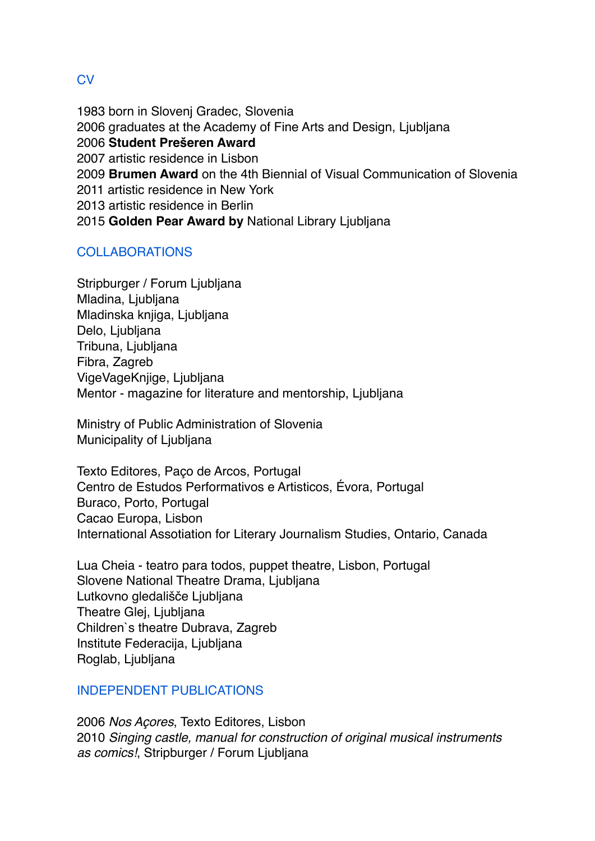## **CV**

1983 born in Slovenj Gradec, Slovenia 2006 graduates at the Academy of Fine Arts and Design, Ljubljana 2006 **Student Prešeren Award** 2007 artistic residence in Lisbon 2009 **Brumen Award** on the 4th Biennial of Visual Communication of Slovenia 2011 artistic residence in New York 2013 artistic residence in Berlin 2015 **Golden Pear Award by** National Library Ljubljana

#### **COLLABORATIONS**

Stripburger / Forum Ljubljana Mladina, Ljubljana Mladinska knjiga, Ljubljana Delo, Liubliana Tribuna, Ljubljana Fibra, Zagreb VigeVageKnjige, Ljubljana Mentor - magazine for literature and mentorship, Ljubljana

Ministry of Public Administration of Slovenia Municipality of Ljubljana

Texto Editores, Paço de Arcos, Portugal Centro de Estudos Performativos e Artisticos, Évora, Portugal Buraco, Porto, Portugal Cacao Europa, Lisbon International Assotiation for Literary Journalism Studies, Ontario, Canada

Lua Cheia - teatro para todos, puppet theatre, Lisbon, Portugal Slovene National Theatre Drama, Ljubljana Lutkovno gledališče Liubliana Theatre Glej, Ljubljana Children`s theatre Dubrava, Zagreb Institute Federacija, Ljubljana Roglab, Ljubljana

#### INDEPENDENT PUBLICATIONS

2006 *Nos Açores*, Texto Editores, Lisbon 2010 *Singing castle, manual for construction of original musical instruments as comics!*, Stripburger / Forum Ljubljana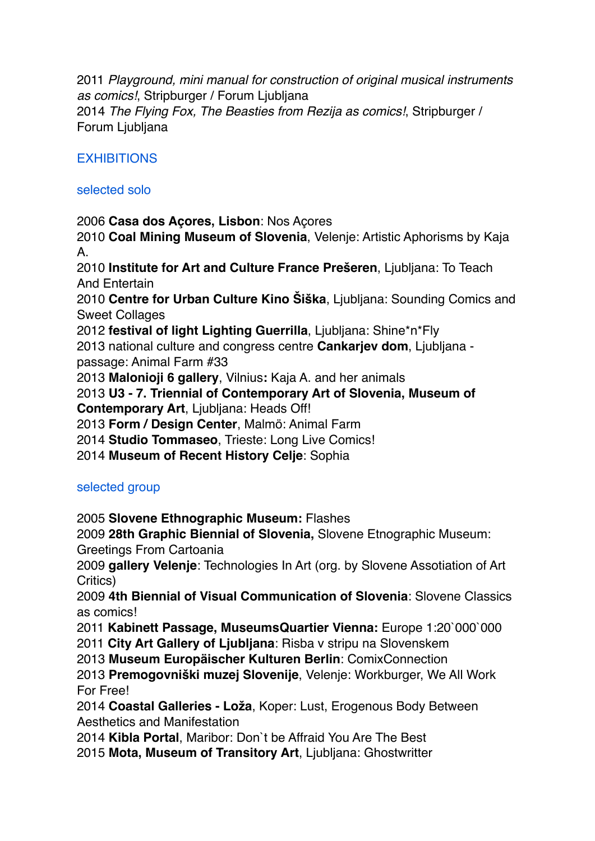2011 *Playground, mini manual for construction of original musical instruments as comics!*, Stripburger / Forum Ljubljana 2014 *The Flying Fox, The Beasties from Rezija as comics!*, Stripburger / Forum Ljubljana

### **EXHIBITIONS**

#### selected solo

2006 **Casa dos Açores, Lisbon**: Nos Açores

2010 **Coal Mining Museum of Slovenia**, Velenje: Artistic Aphorisms by Kaja A.

2010 **Institute for Art and Culture France Prešeren**, Ljubljana: To Teach And Entertain

2010 **Centre for Urban Culture Kino Šiška**, Ljubljana: Sounding Comics and Sweet Collages

2012 **festival of light Lighting Guerrilla**, Ljubljana: Shine\*n\*Fly

2013 national culture and congress centre **Cankarjev dom**, Ljubljana passage: Animal Farm #33

2013 **Malonioji 6 gallery**, Vilnius**:** Kaja A. and her animals

2013 **U3 - 7. Triennial of Contemporary Art of Slovenia, Museum of** 

**Contemporary Art**, Ljubljana: Heads Off!

2013 **Form / Design Center**, Malmö: Animal Farm

2014 **Studio Tommaseo**, Trieste: Long Live Comics!

2014 **Museum of Recent History Celje**: Sophia

#### selected group

2005 **Slovene Ethnographic Museum:** Flashes

2009 **28th Graphic Biennial of Slovenia,** Slovene Etnographic Museum: Greetings From Cartoania

2009 **gallery Velenje**: Technologies In Art (org. by Slovene Assotiation of Art Critics)

2009 **4th Biennial of Visual Communication of Slovenia**: Slovene Classics as comics!

2011 **Kabinett Passage, MuseumsQuartier Vienna:** Europe 1:20`000`000

2011 **City Art Gallery of Ljubljana**: Risba v stripu na Slovenskem

2013 **Museum Europäischer Kulturen Berlin**: ComixConnection 2013 **Premogovniški muzej Slovenije**, Velenje: Workburger, We All Work

# For Free!

2014 **Coastal Galleries - Loža**, Koper: Lust, Erogenous Body Between Aesthetics and Manifestation

2014 **Kibla Portal**, Maribor: Don`t be Affraid You Are The Best

2015 **Mota, Museum of Transitory Art**, Ljubljana: Ghostwritter